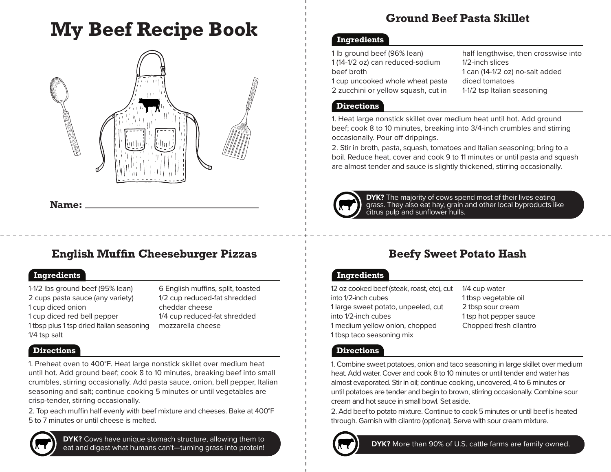# **My Beef Recipe Book**



**Name:**

## **English Muffin Cheeseburger Pizzas Beefy Sweet Potato Hash**

## **Ingredients Ingredients**

1-1/2 lbs ground beef (95% lean) 2 cups pasta sauce (any variety) 1 cup diced onion 1 cup diced red bell pepper 1 tbsp plus 1 tsp dried Italian seasoning 1/4 tsp salt

6 English muffins, split, toasted 1/2 cup reduced-fat shredded cheddar cheese 1/4 cup reduced-fat shredded mozzarella cheese

## **Directions Directions Directions**

1. Preheat oven to 400°F. Heat large nonstick skillet over medium heat until hot. Add ground beef; cook 8 to 10 minutes, breaking beef into small crumbles, stirring occasionally. Add pasta sauce, onion, bell pepper, Italian seasoning and salt; continue cooking 5 minutes or until vegetables are crisp-tender, stirring occasionally.

2. Top each muffin half evenly with beef mixture and cheeses. Bake at 400°F 5 to 7 minutes or until cheese is melted.



**DYK?** Cows have unique stomach structure, allowing them to **DET ALLOCATES IN CONSTRUCTS DYK?** More than 90% of U.S. cattle farms are family owned. eat and digest what humans can't—turning grass into protein!

## **Ground Beef Pasta Skillet**

### **Ingredients**

| 1 lb ground beef (96% lean)         |
|-------------------------------------|
| 1 (14-1/2 oz) can reduced-sodium    |
| beef broth                          |
| 1 cup uncooked whole wheat pasta    |
| 2 zucchini or yellow squash, cut in |
|                                     |

half lengthwise, then crosswise into 1/2-inch slices 1 can (14-1/2 oz) no-salt added diced tomatoes 1-1/2 tsp Italian seasoning

### **Directions**

1. Heat large nonstick skillet over medium heat until hot. Add ground beef; cook 8 to 10 minutes, breaking into 3/4-inch crumbles and stirring occasionally. Pour off drippings.

2. Stir in broth, pasta, squash, tomatoes and Italian seasoning; bring to a boil. Reduce heat, cover and cook 9 to 11 minutes or until pasta and squash are almost tender and sauce is slightly thickened, stirring occasionally.



**DYK?** The majority of cows spend most of their lives eating grass. They also eat hay, grain and other local byproducts like citrus pulp and sunflower hulls.

12 oz cooked beef (steak, roast, etc), cut into 1/2-inch cubes 1 large sweet potato, unpeeled, cut into 1/2-inch cubes 1 medium yellow onion, chopped 1 tbsp taco seasoning mix

1/4 cup water 1 tbsp vegetable oil 2 tbsp sour cream 1 tsp hot pepper sauce Chopped fresh cilantro

1. Combine sweet potatoes, onion and taco seasoning in large skillet over medium heat. Add water. Cover and cook 8 to 10 minutes or until tender and water has almost evaporated. Stir in oil; continue cooking, uncovered, 4 to 6 minutes or until potatoes are tender and begin to brown, stirring occasionally. Combine sour cream and hot sauce in small bowl. Set aside.

2. Add beef to potato mixture. Continue to cook 5 minutes or until beef is heated through. Garnish with cilantro (optional). Serve with sour cream mixture.